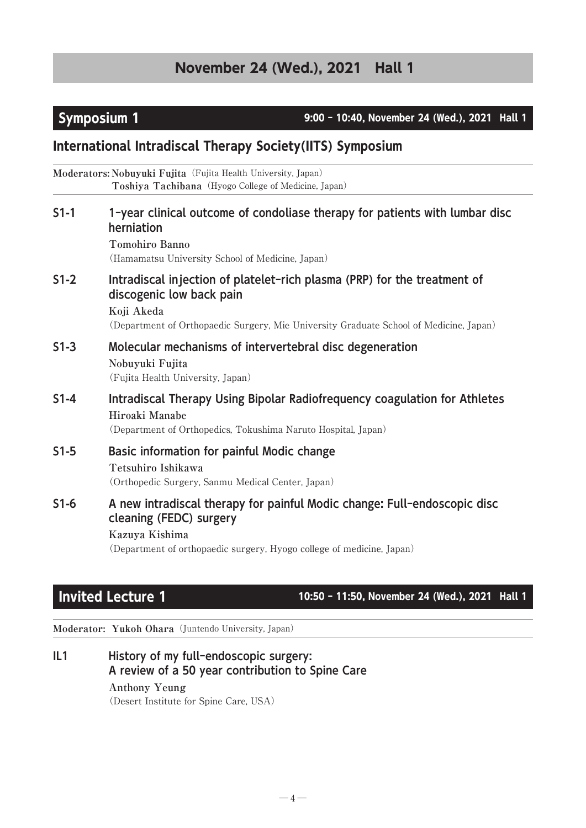Symposium 1 **9:00 - 10:40, November 24 (Wed.), 2021** Hall 1

# International Intradiscal Therapy Society(IITS) Symposium

**Moderators: Nobuyuki Fujita**(Fujita Health University, Japan) **Toshiya Tachibana**(Hyogo College of Medicine, Japan)

| $S1-1$ | 1-year clinical outcome of condoliase therapy for patients with lumbar disc<br>herniation<br>Tomohiro Banno<br>(Hamamatsu University School of Medicine, Japan)                                              |
|--------|--------------------------------------------------------------------------------------------------------------------------------------------------------------------------------------------------------------|
| $S1-2$ | Intradiscal injection of platelet-rich plasma (PRP) for the treatment of<br>discogenic low back pain<br>Koji Akeda<br>(Department of Orthopaedic Surgery, Mie University Graduate School of Medicine, Japan) |
| $S1-3$ | Molecular mechanisms of intervertebral disc degeneration<br>Nobuyuki Fujita<br>(Fujita Health University, Japan)                                                                                             |
| $S1-4$ | Intradiscal Therapy Using Bipolar Radiofrequency coagulation for Athletes<br>Hiroaki Manabe<br>(Department of Orthopedics, Tokushima Naruto Hospital, Japan)                                                 |
| $S1-5$ | Basic information for painful Modic change<br>Tetsuhiro Ishikawa<br>(Orthopedic Surgery, Sanmu Medical Center, Japan)                                                                                        |
| $S1-6$ | A new intradiscal therapy for painful Modic change: Full-endoscopic disc<br>cleaning (FEDC) surgery<br>Kazuya Kishima<br>(Department of orthopaedic surgery, Hyogo college of medicine, Japan)               |

Invited Lecture 1 10:50 - 11:50, November 24 (Wed.), 2021 Hall 1

**Moderator: Yukoh Ohara**(Juntendo University, Japan)

IL1 History of my full-endoscopic surgery: A review of a 50 year contribution to Spine Care **Anthony Yeung** (Desert Institute for Spine Care, USA)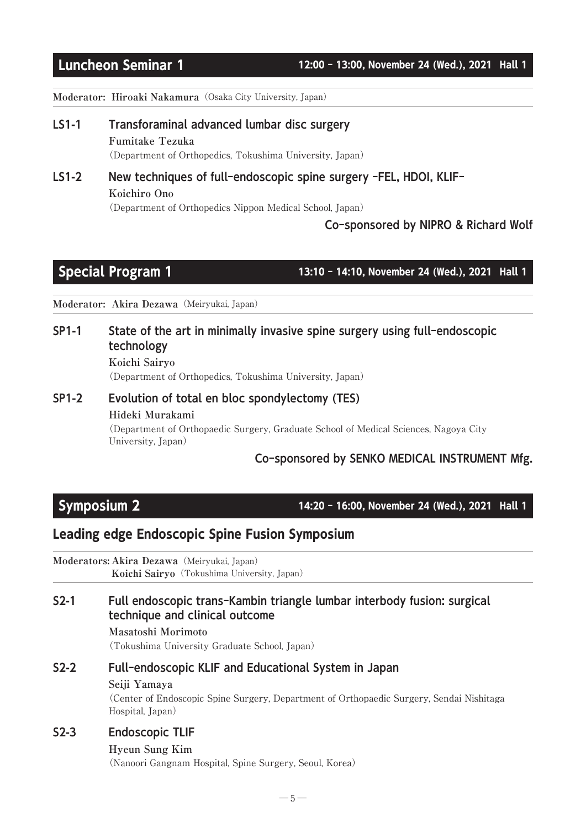**Moderator: Hiroaki Nakamura**(Osaka City University, Japan)

- LS1-1 Transforaminal advanced lumbar disc surgery **Fumitake Tezuka** (Department of Orthopedics, Tokushima University, Japan)
- LS1-2 New techniques of full-endoscopic spine surgery -FEL, HDOI, KLIF-**Koichiro Ono** (Department of Orthopedics Nippon Medical School, Japan)

### Co-sponsored by NIPRO & Richard Wolf

Special Program 1 13:10 - 14:10, November 24 (Wed.), 2021 Hall 1

**Moderator: Akira Dezawa**(Meiryukai, Japan)

## SP1-1 State of the art in minimally invasive spine surgery using full-endoscopic technology

**Koichi Sairyo** (Department of Orthopedics, Tokushima University, Japan)

## SP1-2 Evolution of total en bloc spondylectomy (TES) **Hideki Murakami** (Department of Orthopaedic Surgery, Graduate School of Medical Sciences, Nagoya City University, Japan)

### Co-sponsored by SENKO MEDICAL INSTRUMENT Mfg.

Symposium 2 14:20 - 16:00, November 24 (Wed.), 2021 Hall 1

# Leading edge Endoscopic Spine Fusion Symposium

**Moderators: Akira Dezawa**(Meiryukai, Japan) Koichi Sairyo (Tokushima University, Japan)

### S2-1 Full endoscopic trans-Kambin triangle lumbar interbody fusion: surgical technique and clinical outcome

**Masatoshi Morimoto**

(Tokushima University Graduate School, Japan)

# S2-2 Full-endoscopic KLIF and Educational System in Japan

### **Seiji Yamaya**

(Center of Endoscopic Spine Surgery, Department of Orthopaedic Surgery, Sendai Nishitaga Hospital, Japan)

### S2-3 Endoscopic TLIF

### **Hyeun Sung Kim**

(Nanoori Gangnam Hospital, Spine Surgery, Seoul, Korea)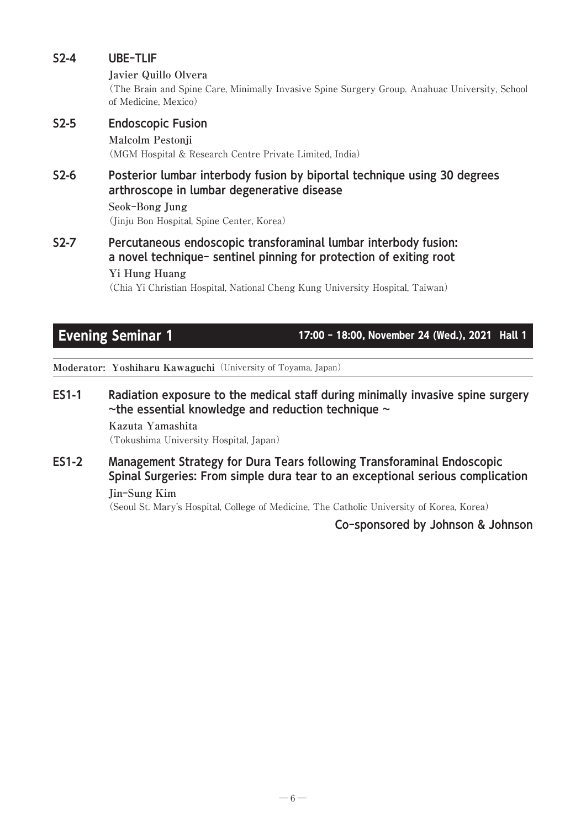# S2-4 UBE-TLIF **Javier Quillo Olvera** (The Brain and Spine Care, Minimally Invasive Spine Surgery Group. Anahuac University, School of Medicine, Mexico) S2-5 Endoscopic Fusion **Malcolm Pestonji** (MGM Hospital & Research Centre Private Limited, India) S2-6 Posterior lumbar interbody fusion by biportal technique using 30 degrees arthroscope in lumbar degenerative disease **Seok-Bong Jung** (Jinju Bon Hospital, Spine Center, Korea)

S2-7 Percutaneous endoscopic transforaminal lumbar interbody fusion: a novel technique- sentinel pinning for protection of exiting root **Yi Hung Huang**

(Chia Yi Christian Hospital, National Cheng Kung University Hospital, Taiwan)

Evening Seminar 1 18:00 - 18:00, November 24 (Wed.), 2021 Hall 1

**Moderator: Yoshiharu Kawaguchi**(University of Toyama, Japan)

ES1-1 Radiation exposure to the medical staff during minimally invasive spine surgery  $\sim$ the essential knowledge and reduction technique  $\sim$ 

> **Kazuta Yamashita** (Tokushima University Hospital, Japan)

ES1-2 Management Strategy for Dura Tears following Transforaminal Endoscopic Spinal Surgeries: From simple dura tear to an exceptional serious complication **Jin-Sung Kim**

(Seoul St. Mary's Hospital, College of Medicine, The Catholic University of Korea, Korea)

Co-sponsored by Johnson & Johnson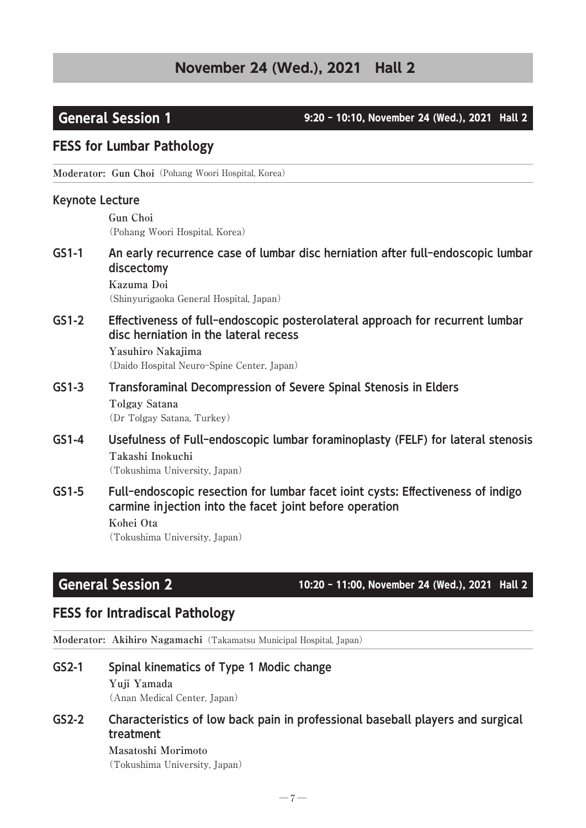## General Session 1 9:20 - 10:10, November 24 (Wed.), 2021 Hall 2

## FESS for Lumbar Pathology

**Moderator: Gun Choi**(Pohang Woori Hospital, Korea)

### Keynote Lecture

**Gun Choi** (Pohang Woori Hospital, Korea)

GS1-1 An early recurrence case of lumbar disc herniation after full-endoscopic lumbar discectomy

> **Kazuma Doi** (Shinyurigaoka General Hospital, Japan)

GS1-2 Effectiveness of full-endoscopic posterolateral approach for recurrent lumbar disc herniation in the lateral recess

> **Yasuhiro Nakajima** (Daido Hospital Neuro-Spine Center, Japan)

- GS1-3 Transforaminal Decompression of Severe Spinal Stenosis in Elders **Tolgay Satana** (Dr Tolgay Satana, Turkey)
- GS1-4 Usefulness of Full-endoscopic lumbar foraminoplasty (FELF) for lateral stenosis **Takashi Inokuchi** (Tokushima University, Japan)
- GS1-5 Full-endoscopic resection for lumbar facet ioint cysts: Effectiveness of indigo carmine injection into the facet joint before operation **Kohei Ota** (Tokushima University, Japan)

# General Session 2 10:20 - 11:00, November 24 (Wed.), 2021 Hall 2

## FESS for Intradiscal Pathology

**Moderator: Akihiro Nagamachi**(Takamatsu Municipal Hospital, Japan)

GS2-1 Spinal kinematics of Type 1 Modic change **Yuji Yamada**

(Anan Medical Center, Japan)

## GS2-2 Characteristics of low back pain in professional baseball players and surgical treatment

### **Masatoshi Morimoto** (Tokushima University, Japan)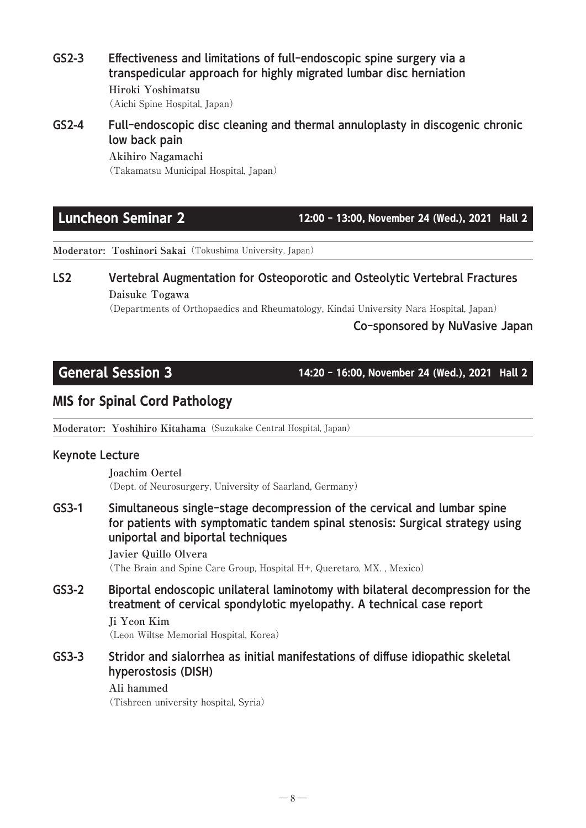GS2-3 Effectiveness and limitations of full-endoscopic spine surgery via a transpedicular approach for highly migrated lumbar disc herniation **Hiroki Yoshimatsu** (Aichi Spine Hospital, Japan)

## GS2-4 Full-endoscopic disc cleaning and thermal annuloplasty in discogenic chronic low back pain

**Akihiro Nagamachi** (Takamatsu Municipal Hospital, Japan)

Luncheon Seminar 2 12:00 - 13:00, November 24 (Wed.), 2021 Hall 2

**Moderator: Toshinori Sakai**(Tokushima University, Japan)

# LS2 Vertebral Augmentation for Osteoporotic and Osteolytic Vertebral Fractures **Daisuke Togawa**

(Departments of Orthopaedics and Rheumatology, Kindai University Nara Hospital, Japan)

## Co-sponsored by NuVasive Japan

General Session 3 14:20 - 16:00, November 24 (Wed.), 2021 Hall 2

# MIS for Spinal Cord Pathology

**Moderator: Yoshihiro Kitahama**(Suzukake Central Hospital, Japan)

## Keynote Lecture

**Joachim Oertel** (Dept. of Neurosurgery, University of Saarland, Germany)

GS3-1 Simultaneous single-stage decompression of the cervical and lumbar spine for patients with symptomatic tandem spinal stenosis: Surgical strategy using uniportal and biportal techniques

**Javier Quillo Olvera** (The Brain and Spine Care Group, Hospital H+, Queretaro, MX. , Mexico)

GS3-2 Biportal endoscopic unilateral laminotomy with bilateral decompression for the treatment of cervical spondylotic myelopathy. A technical case report **Ji Yeon Kim**

(Leon Wiltse Memorial Hospital, Korea)

GS3-3 Stridor and sialorrhea as initial manifestations of diffuse idiopathic skeletal hyperostosis (DISH)

### **Ali hammed**

(Tishreen university hospital, Syria)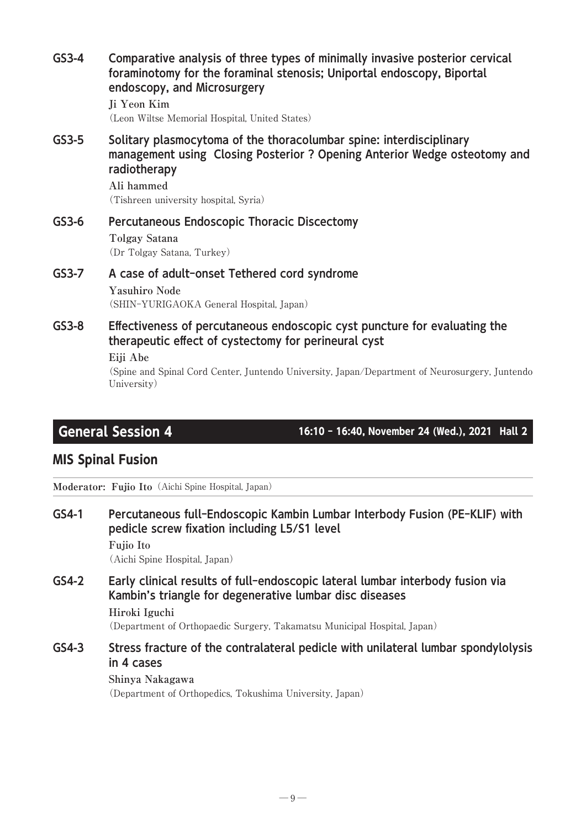| $GS3-4$ | Comparative analysis of three types of minimally invasive posterior cervical<br>foraminotomy for the foraminal stenosis; Uniportal endoscopy, Biportal<br>endoscopy, and Microsurgery<br>Ji Yeon Kim<br>(Leon Wiltse Memorial Hospital, United States)         |
|---------|----------------------------------------------------------------------------------------------------------------------------------------------------------------------------------------------------------------------------------------------------------------|
| $GS3-5$ | Solitary plasmocytoma of the thoracolumbar spine: interdisciplinary<br>management using Closing Posterior ? Opening Anterior Wedge osteotomy and<br>radiotherapy<br>Ali hammed<br>(Tishreen university hospital, Syria)                                        |
| $GS3-6$ | Percutaneous Endoscopic Thoracic Discectomy<br>Tolgay Satana<br>(Dr Tolgay Satana, Turkey)                                                                                                                                                                     |
| $GS3-7$ | A case of adult-onset Tethered cord syndrome<br><b>Yasuhiro Node</b><br>(SHIN-YURIGAOKA General Hospital, Japan)                                                                                                                                               |
| $GS3-8$ | Effectiveness of percutaneous endoscopic cyst puncture for evaluating the<br>therapeutic effect of cystectomy for perineural cyst<br>Eiji Abe<br>(Spine and Spinal Cord Center, Juntendo University, Japan/Department of Neurosurgery, Juntendo<br>University) |

General Session 4 16:10 - 16:40, November 24 (Wed.), 2021 Hall 2

# MIS Spinal Fusion

**Moderator: Fujio Ito**(Aichi Spine Hospital, Japan)

- GS4-1 Percutaneous full-Endoscopic Kambin Lumbar Interbody Fusion (PE-KLIF) with pedicle screw fixation including L5/S1 level
	- **Fujio Ito**

(Aichi Spine Hospital, Japan)

GS4-2 Early clinical results of full-endoscopic lateral lumbar interbody fusion via Kambin's triangle for degenerative lumbar disc diseases

**Hiroki Iguchi**

(Department of Orthopaedic Surgery, Takamatsu Municipal Hospital, Japan)

GS4-3 Stress fracture of the contralateral pedicle with unilateral lumbar spondylolysis in 4 cases

> **Shinya Nakagawa** (Department of Orthopedics, Tokushima University, Japan)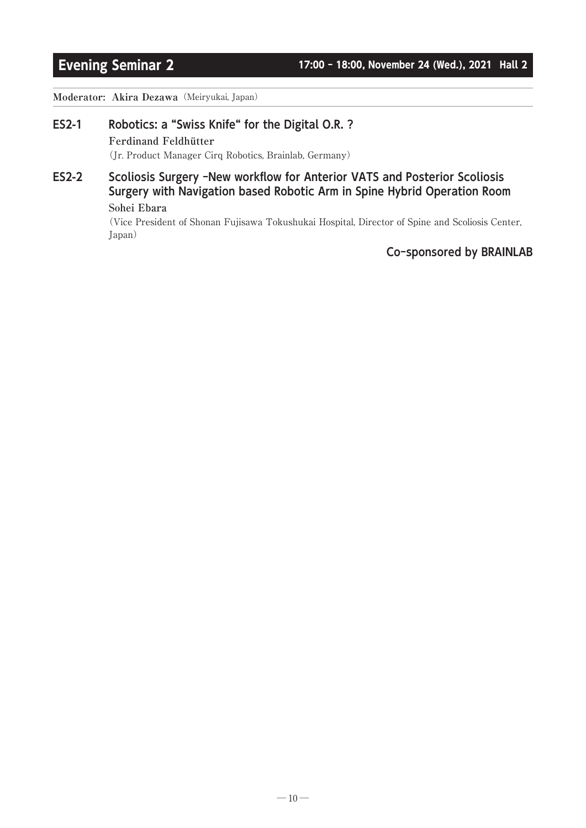### **Moderator: Akira Dezawa**(Meiryukai, Japan)

### ES2-1 Robotics: a "Swiss Knife" for the Digital O.R. ?

### **Ferdinand Feldhütter**

(Jr. Product Manager Cirq Robotics, Brainlab, Germany)

# ES2-2 Scoliosis Surgery -New workflow for Anterior VATS and Posterior Scoliosis Surgery with Navigation based Robotic Arm in Spine Hybrid Operation Room

### **Sohei Ebara**

(Vice President of Shonan Fujisawa Tokushukai Hospital, Director of Spine and Scoliosis Center, Japan)

### Co-sponsored by BRAINLAB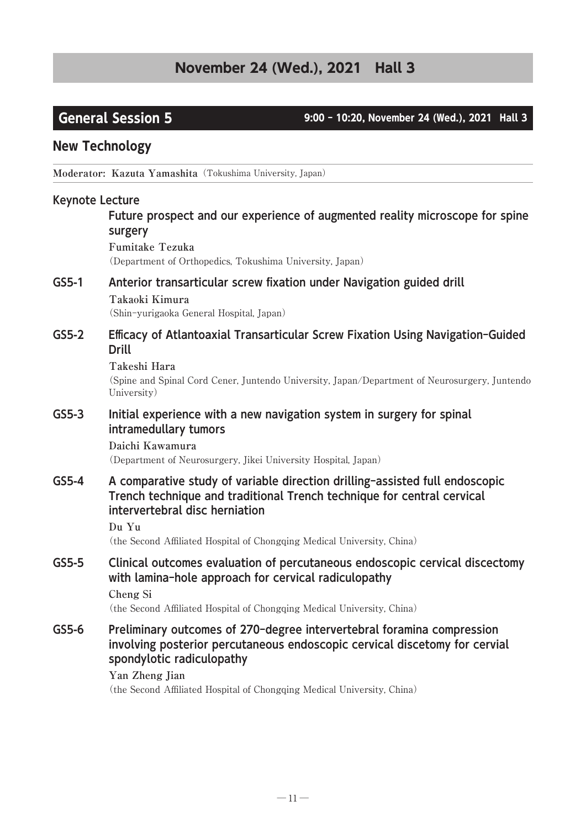General Session 5 9:00 - 10:20, November 24 (Wed.), 2021 Hall 3

# New Technology

**Moderator: Kazuta Yamashita**(Tokushima University, Japan)

### Keynote Lecture

## Future prospect and our experience of augmented reality microscope for spine surgery

**Fumitake Tezuka** (Department of Orthopedics, Tokushima University, Japan)

### GS5-1 Anterior transarticular screw fixation under Navigation guided drill **Takaoki Kimura**

(Shin-yurigaoka General Hospital, Japan)

### GS5-2 Efficacy of Atlantoaxial Transarticular Screw Fixation Using Navigation-Guided Drill

### **Takeshi Hara**

(Spine and Spinal Cord Cener, Juntendo University, Japan/Department of Neurosurgery, Juntendo University)

### GS5-3 Initial experience with a new navigation system in surgery for spinal intramedullary tumors

### **Daichi Kawamura**

(Department of Neurosurgery, Jikei University Hospital, Japan)

### GS5-4 A comparative study of variable direction drilling-assisted full endoscopic Trench technique and traditional Trench technique for central cervical intervertebral disc herniation

### **Du Yu**

(the Second Affiliated Hospital of Chongqing Medical University, China)

## GS5-5 Clinical outcomes evaluation of percutaneous endoscopic cervical discectomy with lamina-hole approach for cervical radiculopathy

**Cheng Si**

(the Second Affiliated Hospital of Chongqing Medical University, China)

### GS5-6 Preliminary outcomes of 270-degree intervertebral foramina compression involving posterior percutaneous endoscopic cervical discetomy for cervial spondylotic radiculopathy

### **Yan Zheng Jian** (the Second Affiliated Hospital of Chongqing Medical University, China)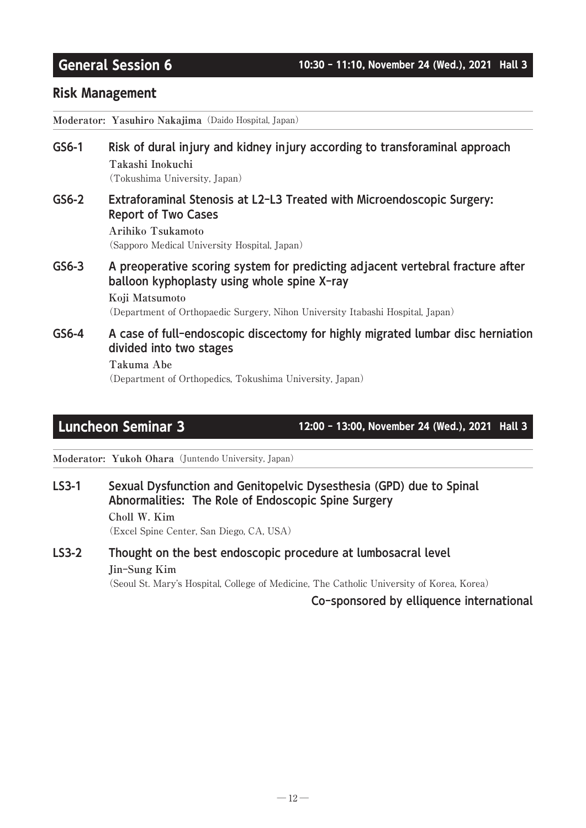## Risk Management

**Moderator: Yasuhiro Nakajima**(Daido Hospital, Japan)

### GS6-1 Risk of dural injury and kidney injury according to transforaminal approach **Takashi Inokuchi** (Tokushima University, Japan)

GS6-2 Extraforaminal Stenosis at L2-L3 Treated with Microendoscopic Surgery: Report of Two Cases

**Arihiko Tsukamoto** (Sapporo Medical University Hospital, Japan)

GS6-3 A preoperative scoring system for predicting adjacent vertebral fracture after balloon kyphoplasty using whole spine X-ray **Koji Matsumoto**

(Department of Orthopaedic Surgery, Nihon University Itabashi Hospital, Japan)

GS6-4 A case of full-endoscopic discectomy for highly migrated lumbar disc herniation divided into two stages

### **Takuma Abe**

(Department of Orthopedics, Tokushima University, Japan)

Luncheon Seminar 3 12:00 - 13:00, November 24 (Wed.), 2021 Hall 3

**Moderator: Yukoh Ohara**(Juntendo University, Japan)

## LS3-1 Sexual Dysfunction and Genitopelvic Dysesthesia (GPD) due to Spinal Abnormalities: The Role of Endoscopic Spine Surgery

**Choll W. Kim** (Excel Spine Center, San Diego, CA, USA)

## LS3-2 Thought on the best endoscopic procedure at lumbosacral level **Jin-Sung Kim**

(Seoul St. Mary's Hospital, College of Medicine, The Catholic University of Korea, Korea)

Co-sponsored by elliquence international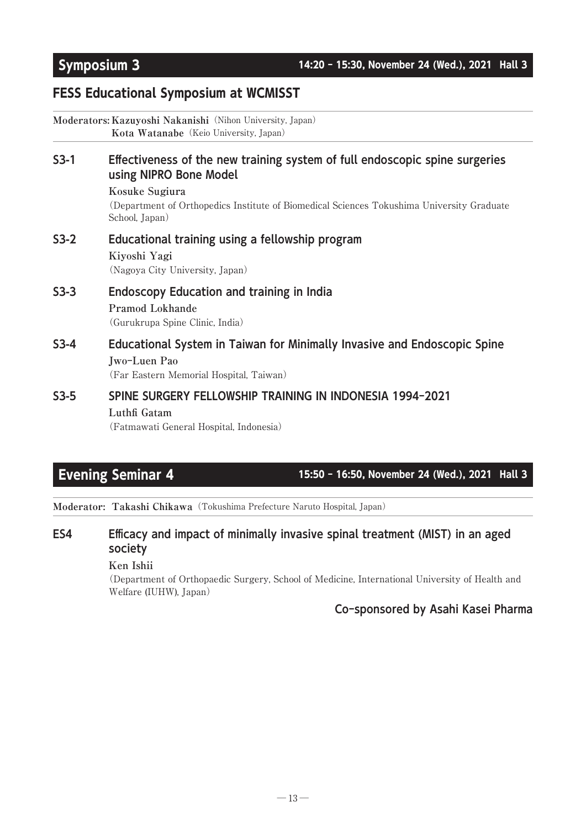# FESS Educational Symposium at WCMISST

|        | Moderators: Kazuyoshi Nakanishi (Nihon University, Japan)<br>Kota Watanabe (Keio University, Japan)                                 |
|--------|-------------------------------------------------------------------------------------------------------------------------------------|
| $S3-1$ | Effectiveness of the new training system of full endoscopic spine surgeries<br>using NIPRO Bone Model                               |
|        | Kosuke Sugiura<br>(Department of Orthopedics Institute of Biomedical Sciences Tokushima University Graduate<br>School, Japan)       |
| $S3-2$ | Educational training using a fellowship program<br>Kiyoshi Yagi<br>(Nagoya City University, Japan)                                  |
| $S3-3$ | <b>Endoscopy Education and training in India</b><br>Pramod Lokhande<br>(Gurukrupa Spine Clinic, India)                              |
| $S3-4$ | Educational System in Taiwan for Minimally Invasive and Endoscopic Spine<br>Jwo-Luen Pao<br>(Far Eastern Memorial Hospital, Taiwan) |
| $S3-5$ | SPINE SURGERY FELLOWSHIP TRAINING IN INDONESIA 1994-2021<br>Luthfi Gatam<br>(Fatmawati General Hospital, Indonesia)                 |

Evening Seminar 4 15:50 - 16:50, November 24 (Wed.), 2021 Hall 3

**Moderator: Takashi Chikawa**(Tokushima Prefecture Naruto Hospital, Japan)

# ES4 Efficacy and impact of minimally invasive spinal treatment (MIST) in an aged society

**Ken Ishii**

(Department of Orthopaedic Surgery, School of Medicine, International University of Health and Welfare (IUHW), Japan)

## Co-sponsored by Asahi Kasei Pharma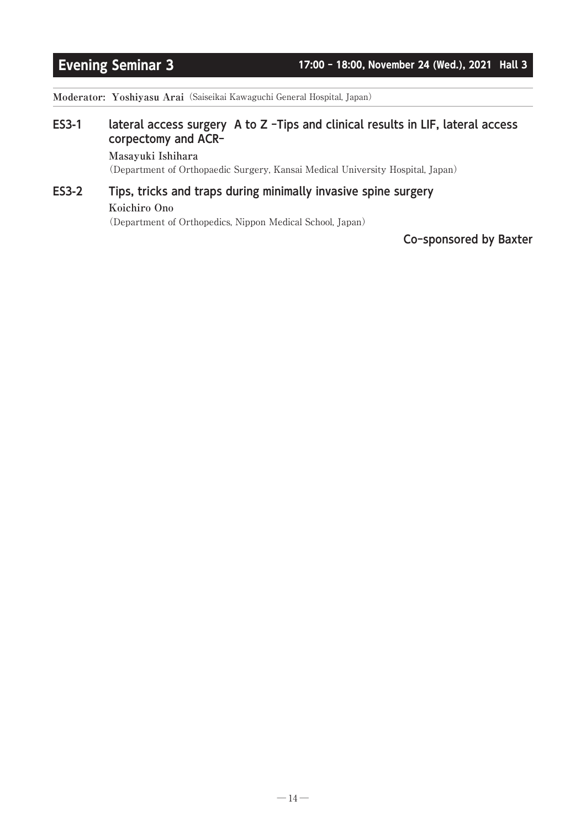**Moderator: Yoshiyasu Arai**(Saiseikai Kawaguchi General Hospital, Japan)

## ES3-1 lateral access surgery A to Z -Tips and clinical results in LIF, lateral access corpectomy and ACR-

### **Masayuki Ishihara**

(Department of Orthopaedic Surgery, Kansai Medical University Hospital, Japan)

# ES3-2 Tips, tricks and traps during minimally invasive spine surgery

### **Koichiro Ono**

(Department of Orthopedics, Nippon Medical School, Japan)

### Co-sponsored by Baxter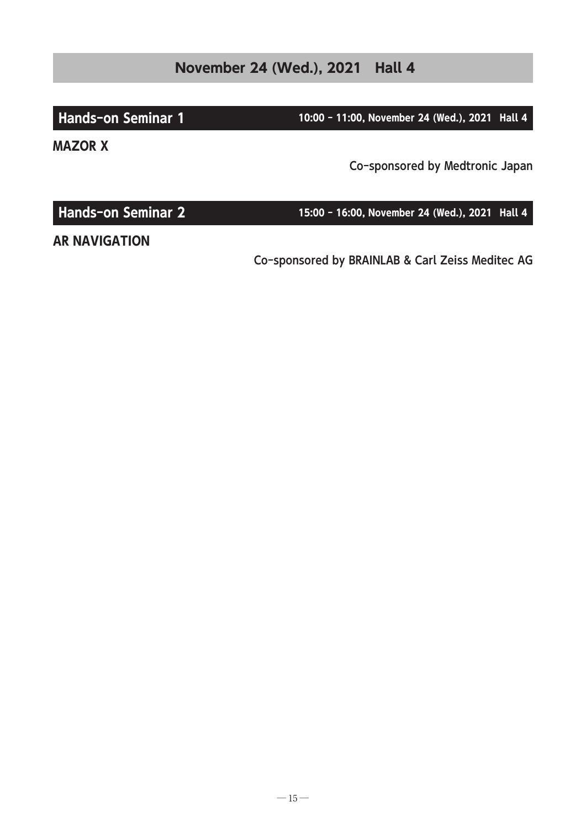Hands-on Seminar 1 10:00 - 11:00, November 24 (Wed.), 2021 Hall 4

MAZOR X

Co-sponsored by Medtronic Japan

Co-sponsored by BRAINLAB & Carl Zeiss Meditec AG

AR NAVIGATION

Hands-on Seminar 2 15:00 - 16:00, November 24 (Wed.), 2021 Hall 4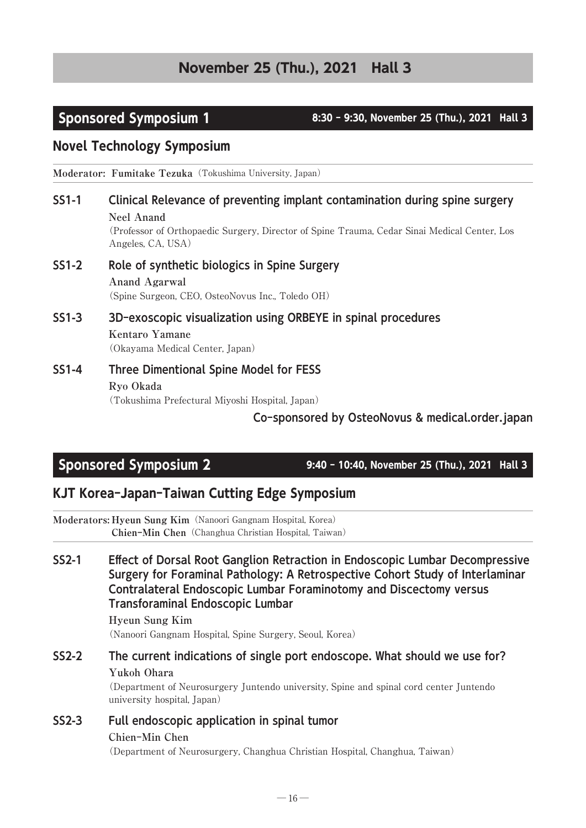# **November 25 (Thu.), 2021 Hall 3**

Sponsored Symposium 1 8:30 - 9:30, November 25 (Thu.), 2021 Hall 3

# Novel Technology Symposium

**Moderator: Fumitake Tezuka** (Tokushima University, Japan)

# SS1-1 Clinical Relevance of preventing implant contamination during spine surgery **Neel Anand**

(Professor of Orthopaedic Surgery, Director of Spine Trauma, Cedar Sinai Medical Center, Los Angeles, CA, USA)

### SS1-2 Role of synthetic biologics in Spine Surgery **Anand Agarwal** (Spine Surgeon, CEO, OsteoNovus Inc., Toledo OH)

SS1-3 3D-exoscopic visualization using ORBEYE in spinal procedures **Kentaro Yamane** (Okayama Medical Center, Japan)

### SS1-4 Three Dimentional Spine Model for FESS **Ryo Okada** (Tokushima Prefectural Miyoshi Hospital, Japan)

Co-sponsored by OsteoNovus & medical.order.japan

# Sponsored Symposium 2 9:40 - 10:40, November 25 (Thu.), 2021 Hall 3

# KJT Korea-Japan-Taiwan Cutting Edge Symposium

**Moderators: Hyeun Sung Kim**(Nanoori Gangnam Hospital, Korea) **Chien-Min Chen**(Changhua Christian Hospital, Taiwan)

## SS2-1 Effect of Dorsal Root Ganglion Retraction in Endoscopic Lumbar Decompressive Surgery for Foraminal Pathology: A Retrospective Cohort Study of Interlaminar Contralateral Endoscopic Lumbar Foraminotomy and Discectomy versus Transforaminal Endoscopic Lumbar

### **Hyeun Sung Kim** (Nanoori Gangnam Hospital, Spine Surgery, Seoul, Korea)

SS2-2 The current indications of single port endoscope. What should we use for? **Yukoh Ohara**

(Department of Neurosurgery Juntendo university, Spine and spinal cord center Juntendo university hospital, Japan)

# SS2-3 Full endoscopic application in spinal tumor **Chien-Min Chen**

(Department of Neurosurgery, Changhua Christian Hospital, Changhua, Taiwan)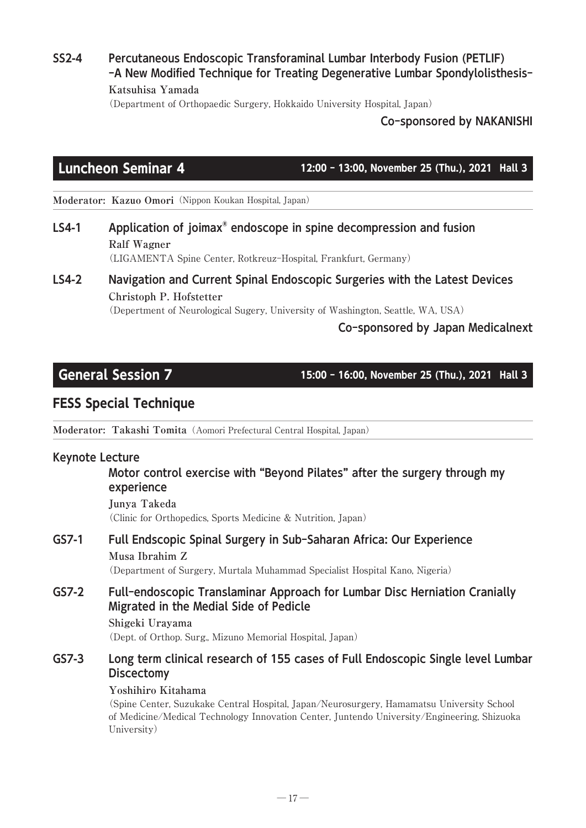SS2-4 Percutaneous Endoscopic Transforaminal Lumbar Interbody Fusion (PETLIF) -A New Modified Technique for Treating Degenerative Lumbar Spondylolisthesis-**Katsuhisa Yamada**

(Department of Orthopaedic Surgery, Hokkaido University Hospital, Japan)

Co-sponsored by NAKANISHI

Luncheon Seminar 4 12:00 - 13:00, November 25 (Thu.), 2021 Hall 3

**Moderator: Kazuo Omori**(Nippon Koukan Hospital, Japan)

LS4-1 Application of joimax® endoscope in spine decompression and fusion **Ralf Wagner**

(LIGAMENTA Spine Center, Rotkreuz-Hospital, Frankfurt, Germany)

# LS4-2 Navigation and Current Spinal Endoscopic Surgeries with the Latest Devices **Christoph P. Hofstetter**

(Depertment of Neurological Sugery, University of Washington, Seattle, WA, USA)

## Co-sponsored by Japan Medicalnext

General Session 7 15:00 - 16:00, November 25 (Thu.), 2021 Hall 3

# FESS Special Technique

**Moderator: Takashi Tomita**(Aomori Prefectural Central Hospital, Japan)

### Keynote Lecture

### Motor control exercise with "Beyond Pilates" after the surgery through my experience

**Junya Takeda** (Clinic for Orthopedics, Sports Medicine & Nutrition, Japan)

GS7-1 Full Endscopic Spinal Surgery in Sub-Saharan Africa: Our Experience **Musa Ibrahim Z**

(Department of Surgery, Murtala Muhammad Specialist Hospital Kano, Nigeria)

# GS7-2 Full-endoscopic Translaminar Approach for Lumbar Disc Herniation Cranially Migrated in the Medial Side of Pedicle

# **Shigeki Urayama**

(Dept. of Orthop. Surg., Mizuno Memorial Hospital, Japan)

## GS7-3 Long term clinical research of 155 cases of Full Endoscopic Single level Lumbar **Discectomy**

### **Yoshihiro Kitahama**

(Spine Center, Suzukake Central Hospital, Japan/Neurosurgery, Hamamatsu University School of Medicine/Medical Technology Innovation Center, Juntendo University/Engineering, Shizuoka University)